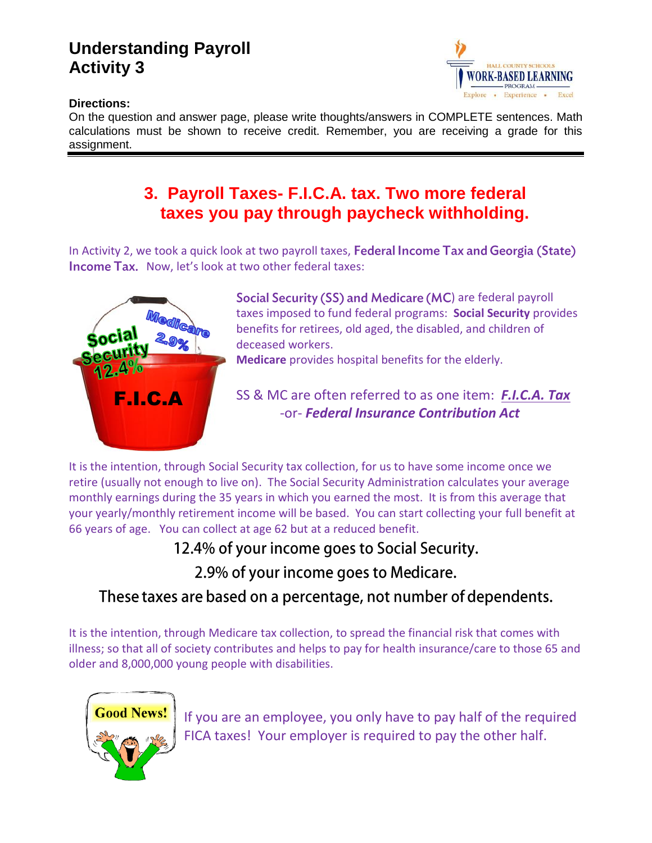# **Understanding Payroll Activity 3**



#### **Directions:**

On the question and answer page, please write thoughts/answers in COMPLETE sentences. Math calculations must be shown to receive credit. Remember, you are receiving a grade for this assignment.

## **3. Payroll Taxes- F.I.C.A. tax. Two more federal taxes you pay through paycheck withholding.**

In Activity 2, we took a quick look at two payroll taxes, Federal Income Tax and Georgia (State) **Income Tax.** Now, let's look at two other federal taxes:



Social Security (SS) and Medicare (MC) are federal payroll taxes imposed to fund federal programs: **Social Security** provides benefits for retirees, old aged, the disabled, and children of deceased workers.

**Medicare** provides hospital benefits for the elderly.

### SS & MC are often referred to as one item: *F.I.C.A. Tax* -or- *Federal Insurance Contribution Act*

It is the intention, through Social Security tax collection, for us to have some income once we retire (usually not enough to live on). The Social Security Administration calculates your average monthly earnings during the 35 years in which you earned the most. It is from this average that your yearly/monthly retirement income will be based. You can start collecting your full benefit at 66 years of age. You can collect at age 62 but at a reduced benefit.

12.4% of your income goes to Social Security.

2.9% of your income goes to Medicare.

### These taxes are based on a percentage, not number of dependents.

It is the intention, through Medicare tax collection, to spread the financial risk that comes with illness; so that all of society contributes and helps to pay for health insurance/care to those 65 and older and 8,000,000 young people with disabilities.



If you are an employee, you only have to pay half of the required FICA taxes! Your employer is required to pay the other half.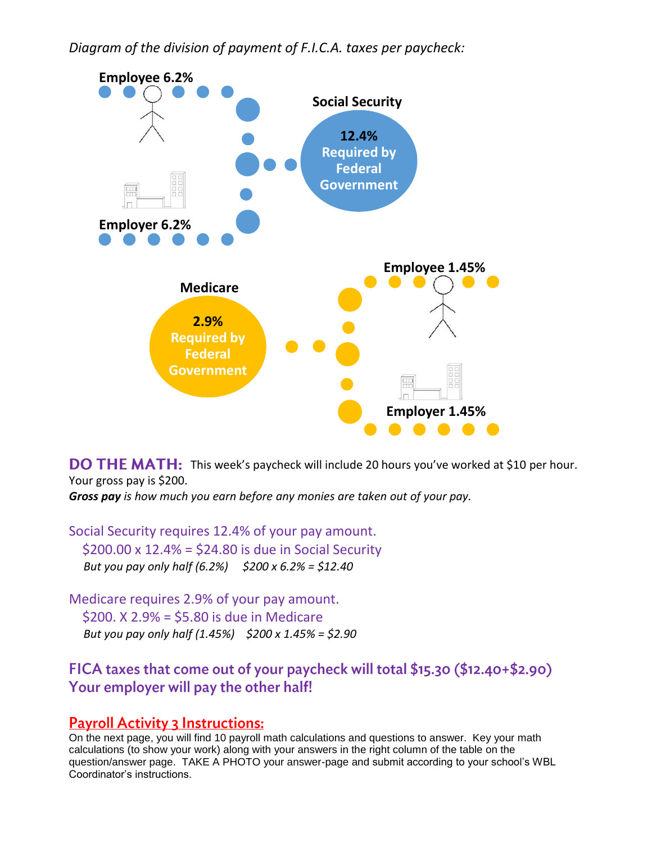*Diagram of the division of payment of F.I.C.A. taxes per paycheck:*



**DO THE MATH:** This week's paycheck will include 20 hours you've worked at \$10 per hour. Your gross pay is \$200.

*Gross pay is how much you earn before any monies are taken out of your pay.* 

Social Security requires 12.4% of your pay amount. \$200.00 x 12.4% = \$24.80 is due in Social Security  *But you pay only half (6.2%) \$200 x 6.2% = \$12.40* 

Medicare requires 2.9% of your pay amount. \$200. X 2.9% = \$5.80 is due in Medicare  *But you pay only half (1.45%) \$200 x 1.45% = \$2.90* 

FICA taxes that come out of your paycheck will total \$15.30 (\$12.40+\$2.90) Your employer will pay the other half!

### **Payroll Activity 3 Instructions:**

On the next page, you will find 10 payroll math calculations and questions to answer. Key your math calculations (to show your work) along with your answers in the right column of the table on the question/answer page. TAKE A PHOTO your answer-page and submit according to your school's WBL Coordinator's instructions.